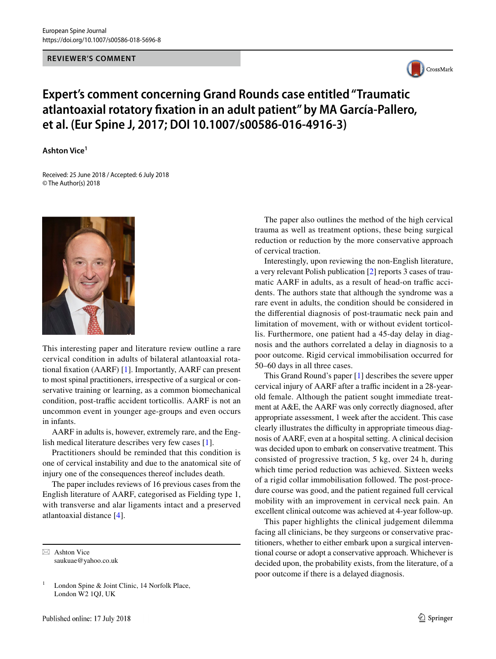#### **REVIEWER'S COMMENT**



# **Expert's comment concerning Grand Rounds case entitled "Traumatic atlantoaxial rotatory fxation in an adult patient" by MA García‑Pallero, et al. (Eur Spine J, 2017; DOI 10.1007/s00586‑016‑4916‑3)**

### **Ashton Vice1**

Received: 25 June 2018 / Accepted: 6 July 2018 © The Author(s) 2018



This interesting paper and literature review outline a rare cervical condition in adults of bilateral atlantoaxial rotational fxation (AARF) [[1\]](#page-1-0). Importantly, AARF can present to most spinal practitioners, irrespective of a surgical or conservative training or learning, as a common biomechanical condition, post-traffic accident torticollis. AARF is not an uncommon event in younger age-groups and even occurs in infants.

AARF in adults is, however, extremely rare, and the English medical literature describes very few cases [\[1](#page-1-0)].

Practitioners should be reminded that this condition is one of cervical instability and due to the anatomical site of injury one of the consequences thereof includes death.

The paper includes reviews of 16 previous cases from the English literature of AARF, categorised as Fielding type 1, with transverse and alar ligaments intact and a preserved atlantoaxial distance [[4\]](#page-1-1).

 $\boxtimes$  Ashton Vice saukuae@yahoo.co.uk

The paper also outlines the method of the high cervical trauma as well as treatment options, these being surgical reduction or reduction by the more conservative approach of cervical traction.

Interestingly, upon reviewing the non-English literature, a very relevant Polish publication [[2\]](#page-1-2) reports 3 cases of traumatic AARF in adults, as a result of head-on traffic accidents. The authors state that although the syndrome was a rare event in adults, the condition should be considered in the diferential diagnosis of post-traumatic neck pain and limitation of movement, with or without evident torticollis. Furthermore, one patient had a 45-day delay in diagnosis and the authors correlated a delay in diagnosis to a poor outcome. Rigid cervical immobilisation occurred for 50–60 days in all three cases.

This Grand Round's paper [[1\]](#page-1-0) describes the severe upper cervical injury of AARF after a traffic incident in a 28-yearold female. Although the patient sought immediate treatment at A&E, the AARF was only correctly diagnosed, after appropriate assessment, 1 week after the accident. This case clearly illustrates the difficulty in appropriate timeous diagnosis of AARF, even at a hospital setting. A clinical decision was decided upon to embark on conservative treatment. This consisted of progressive traction, 5 kg, over 24 h, during which time period reduction was achieved. Sixteen weeks of a rigid collar immobilisation followed. The post-procedure course was good, and the patient regained full cervical mobility with an improvement in cervical neck pain. An excellent clinical outcome was achieved at 4-year follow-up.

This paper highlights the clinical judgement dilemma facing all clinicians, be they surgeons or conservative practitioners, whether to either embark upon a surgical interventional course or adopt a conservative approach. Whichever is decided upon, the probability exists, from the literature, of a poor outcome if there is a delayed diagnosis.

<sup>&</sup>lt;sup>1</sup> London Spine & Joint Clinic, 14 Norfolk Place, London W2 1QJ, UK